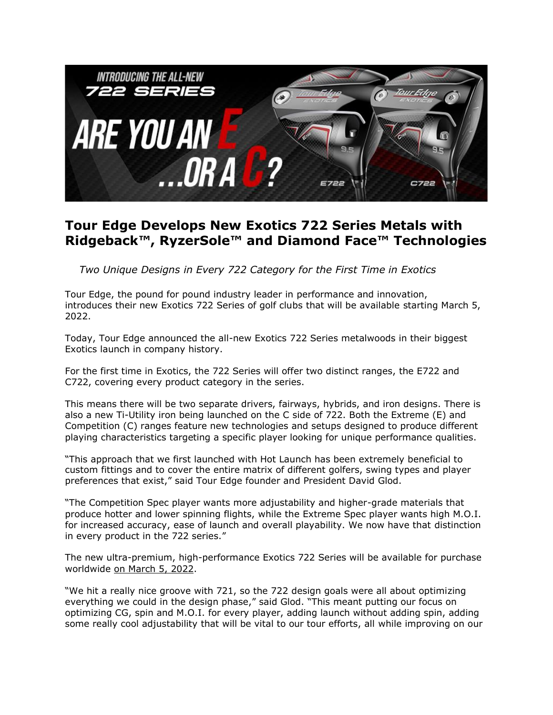

#### **Tour Edge Develops New Exotics 722 Series Metals with Ridgeback™, RyzerSole™ and Diamond Face™ Technologies**

 *Two Unique Designs in Every 722 Category for the First Time in Exotics*

Tour Edge, the pound for pound industry leader in performance and innovation, introduces their new Exotics 722 Series of golf clubs that will be available starting March 5, 2022.

Today, Tour Edge announced the all-new Exotics 722 Series metalwoods in their biggest Exotics launch in company history.

For the first time in Exotics, the 722 Series will offer two distinct ranges, the E722 and C722, covering every product category in the series.

This means there will be two separate drivers, fairways, hybrids, and iron designs. There is also a new Ti-Utility iron being launched on the C side of 722. Both the Extreme (E) and Competition (C) ranges feature new technologies and setups designed to produce different playing characteristics targeting a specific player looking for unique performance qualities.

"This approach that we first launched with Hot Launch has been extremely beneficial to custom fittings and to cover the entire matrix of different golfers, swing types and player preferences that exist," said Tour Edge founder and President David Glod.

"The Competition Spec player wants more adjustability and higher-grade materials that produce hotter and lower spinning flights, while the Extreme Spec player wants high M.O.I. for increased accuracy, ease of launch and overall playability. We now have that distinction in every product in the 722 series."

The new ultra-premium, high-performance Exotics 722 Series will be available for purchase worldwide on March 5, 2022.

"We hit a really nice groove with 721, so the 722 design goals were all about optimizing everything we could in the design phase," said Glod. "This meant putting our focus on optimizing CG, spin and M.O.I. for every player, adding launch without adding spin, adding some really cool adjustability that will be vital to our tour efforts, all while improving on our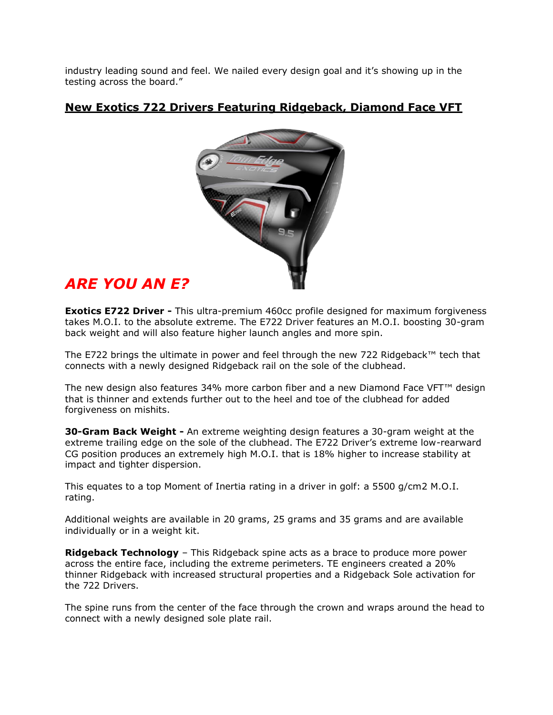industry leading sound and feel. We nailed every design goal and it's showing up in the testing across the board."

#### **New Exotics 722 Drivers Featuring Ridgeback, Diamond Face VFT**



## *ARE YOU AN E?*

**Exotics E722 Driver -** This ultra-premium 460cc profile designed for maximum forgiveness takes M.O.I. to the absolute extreme. The E722 Driver features an M.O.I. boosting 30-gram back weight and will also feature higher launch angles and more spin.

The E722 brings the ultimate in power and feel through the new 722 Ridgeback™ tech that connects with a newly designed Ridgeback rail on the sole of the clubhead.

The new design also features 34% more carbon fiber and a new Diamond Face VFT™ design that is thinner and extends further out to the heel and toe of the clubhead for added forgiveness on mishits.

**30-Gram Back Weight -** An extreme weighting design features a 30-gram weight at the extreme trailing edge on the sole of the clubhead. The E722 Driver's extreme low-rearward CG position produces an extremely high M.O.I. that is 18% higher to increase stability at impact and tighter dispersion.

This equates to a top Moment of Inertia rating in a driver in golf: a 5500 g/cm2 M.O.I. rating.

Additional weights are available in 20 grams, 25 grams and 35 grams and are available individually or in a weight kit.

**Ridgeback Technology** – This Ridgeback spine acts as a brace to produce more power across the entire face, including the extreme perimeters. TE engineers created a 20% thinner Ridgeback with increased structural properties and a Ridgeback Sole activation for the 722 Drivers.

The spine runs from the center of the face through the crown and wraps around the head to connect with a newly designed sole plate rail.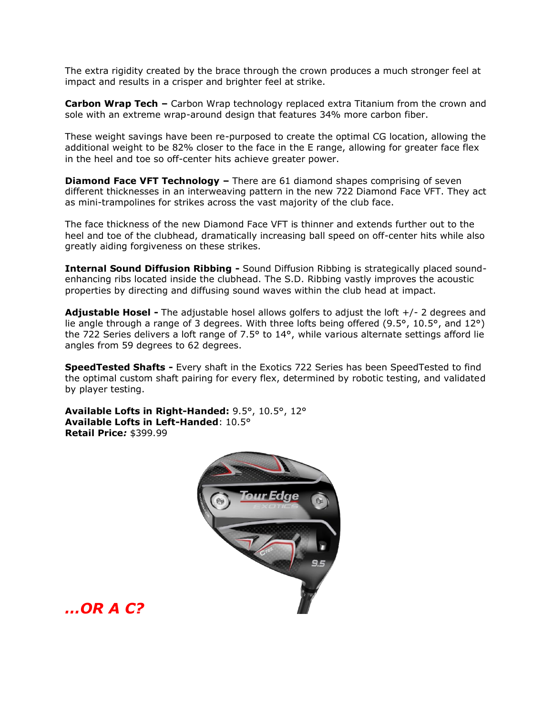The extra rigidity created by the brace through the crown produces a much stronger feel at impact and results in a crisper and brighter feel at strike.

**Carbon Wrap Tech –** Carbon Wrap technology replaced extra Titanium from the crown and sole with an extreme wrap-around design that features 34% more carbon fiber.

These weight savings have been re-purposed to create the optimal CG location, allowing the additional weight to be 82% closer to the face in the E range, allowing for greater face flex in the heel and toe so off-center hits achieve greater power.

**Diamond Face VFT Technology –** There are 61 diamond shapes comprising of seven different thicknesses in an interweaving pattern in the new 722 Diamond Face VFT. They act as mini-trampolines for strikes across the vast majority of the club face.

The face thickness of the new Diamond Face VFT is thinner and extends further out to the heel and toe of the clubhead, dramatically increasing ball speed on off-center hits while also greatly aiding forgiveness on these strikes.

**Internal Sound Diffusion Ribbing -** Sound Diffusion Ribbing is strategically placed soundenhancing ribs located inside the clubhead. The S.D. Ribbing vastly improves the acoustic properties by directing and diffusing sound waves within the club head at impact.

**Adjustable Hosel -** The adjustable hosel allows golfers to adjust the loft +/- 2 degrees and lie angle through a range of 3 degrees. With three lofts being offered (9.5°, 10.5°, and 12°) the 722 Series delivers a loft range of 7.5° to 14°, while various alternate settings afford lie angles from 59 degrees to 62 degrees.

**SpeedTested Shafts -** Every shaft in the Exotics 722 Series has been SpeedTested to find the optimal custom shaft pairing for every flex, determined by robotic testing, and validated by player testing.

**Available Lofts in Right-Handed:** 9.5°, 10.5°, 12° **Available Lofts in Left-Handed**: 10.5° **Retail Price***:* \$399.99



*…OR A C?*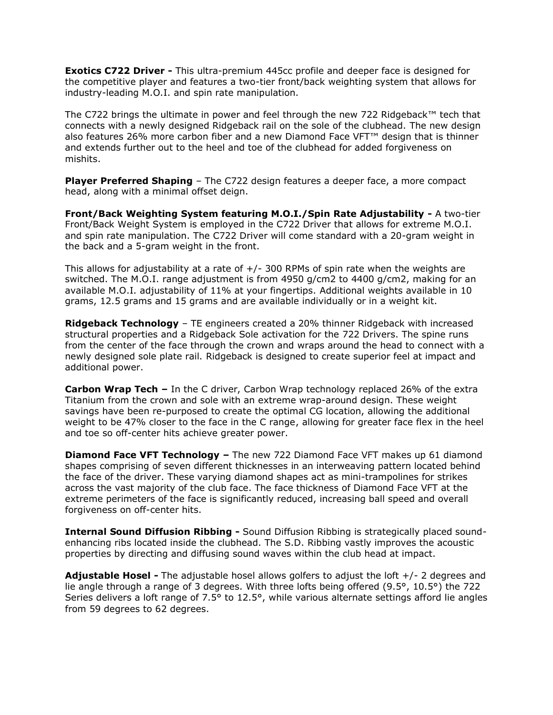**Exotics C722 Driver -** This ultra-premium 445cc profile and deeper face is designed for the competitive player and features a two-tier front/back weighting system that allows for industry-leading M.O.I. and spin rate manipulation.

The C722 brings the ultimate in power and feel through the new 722 Ridgeback™ tech that connects with a newly designed Ridgeback rail on the sole of the clubhead. The new design also features 26% more carbon fiber and a new Diamond Face VFT™ design that is thinner and extends further out to the heel and toe of the clubhead for added forgiveness on mishits.

**Player Preferred Shaping** - The C722 design features a deeper face, a more compact head, along with a minimal offset deign.

**Front/Back Weighting System featuring M.O.I./Spin Rate Adjustability -** A two-tier Front/Back Weight System is employed in the C722 Driver that allows for extreme M.O.I. and spin rate manipulation. The C722 Driver will come standard with a 20-gram weight in the back and a 5-gram weight in the front.

This allows for adjustability at a rate of  $+/-$  300 RPMs of spin rate when the weights are switched. The M.O.I. range adjustment is from 4950 g/cm2 to 4400 g/cm2, making for an available M.O.I. adjustability of 11% at your fingertips. Additional weights available in 10 grams, 12.5 grams and 15 grams and are available individually or in a weight kit.

**Ridgeback Technology** – TE engineers created a 20% thinner Ridgeback with increased structural properties and a Ridgeback Sole activation for the 722 Drivers. The spine runs from the center of the face through the crown and wraps around the head to connect with a newly designed sole plate rail. Ridgeback is designed to create superior feel at impact and additional power.

**Carbon Wrap Tech –** In the C driver, Carbon Wrap technology replaced 26% of the extra Titanium from the crown and sole with an extreme wrap-around design. These weight savings have been re-purposed to create the optimal CG location, allowing the additional weight to be 47% closer to the face in the C range, allowing for greater face flex in the heel and toe so off-center hits achieve greater power.

**Diamond Face VFT Technology –** The new 722 Diamond Face VFT makes up 61 diamond shapes comprising of seven different thicknesses in an interweaving pattern located behind the face of the driver. These varying diamond shapes act as mini-trampolines for strikes across the vast majority of the club face. The face thickness of Diamond Face VFT at the extreme perimeters of the face is significantly reduced, increasing ball speed and overall forgiveness on off-center hits.

**Internal Sound Diffusion Ribbing -** Sound Diffusion Ribbing is strategically placed soundenhancing ribs located inside the clubhead. The S.D. Ribbing vastly improves the acoustic properties by directing and diffusing sound waves within the club head at impact.

**Adjustable Hosel -** The adjustable hosel allows golfers to adjust the loft +/- 2 degrees and lie angle through a range of 3 degrees. With three lofts being offered (9.5°, 10.5°) the 722 Series delivers a loft range of 7.5° to 12.5°, while various alternate settings afford lie angles from 59 degrees to 62 degrees.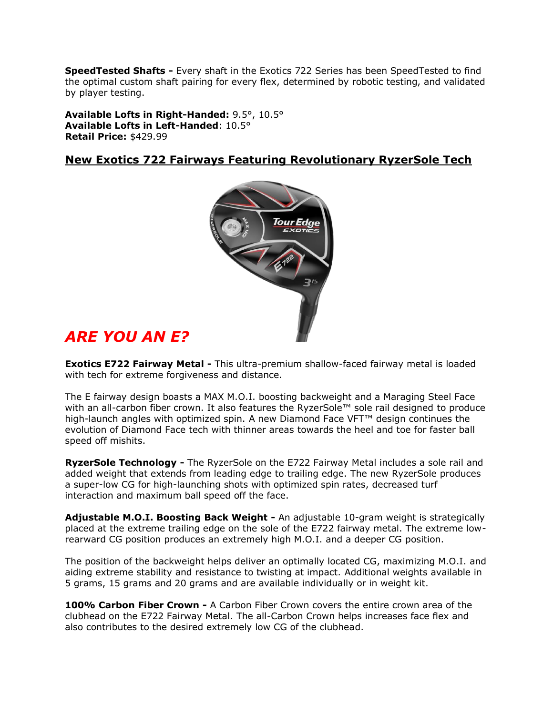**SpeedTested Shafts -** Every shaft in the Exotics 722 Series has been SpeedTested to find the optimal custom shaft pairing for every flex, determined by robotic testing, and validated by player testing.

**Available Lofts in Right-Handed:** 9.5°, 10.5° **Available Lofts in Left-Handed**: 10.5° **Retail Price:** \$429.99

#### **New Exotics 722 Fairways Featuring Revolutionary RyzerSole Tech**



### *ARE YOU AN E?*

**Exotics E722 Fairway Metal -** This ultra-premium shallow-faced fairway metal is loaded with tech for extreme forgiveness and distance.

The E fairway design boasts a MAX M.O.I. boosting backweight and a Maraging Steel Face with an all-carbon fiber crown. It also features the RyzerSole™ sole rail designed to produce high-launch angles with optimized spin. A new Diamond Face VFT™ design continues the evolution of Diamond Face tech with thinner areas towards the heel and toe for faster ball speed off mishits.

**RyzerSole Technology -** The RyzerSole on the E722 Fairway Metal includes a sole rail and added weight that extends from leading edge to trailing edge. The new RyzerSole produces a super-low CG for high-launching shots with optimized spin rates, decreased turf interaction and maximum ball speed off the face.

**Adjustable M.O.I. Boosting Back Weight -** An adjustable 10-gram weight is strategically placed at the extreme trailing edge on the sole of the E722 fairway metal. The extreme lowrearward CG position produces an extremely high M.O.I. and a deeper CG position.

The position of the backweight helps deliver an optimally located CG, maximizing M.O.I. and aiding extreme stability and resistance to twisting at impact. Additional weights available in 5 grams, 15 grams and 20 grams and are available individually or in weight kit.

**100% Carbon Fiber Crown -** A Carbon Fiber Crown covers the entire crown area of the clubhead on the E722 Fairway Metal. The all-Carbon Crown helps increases face flex and also contributes to the desired extremely low CG of the clubhead.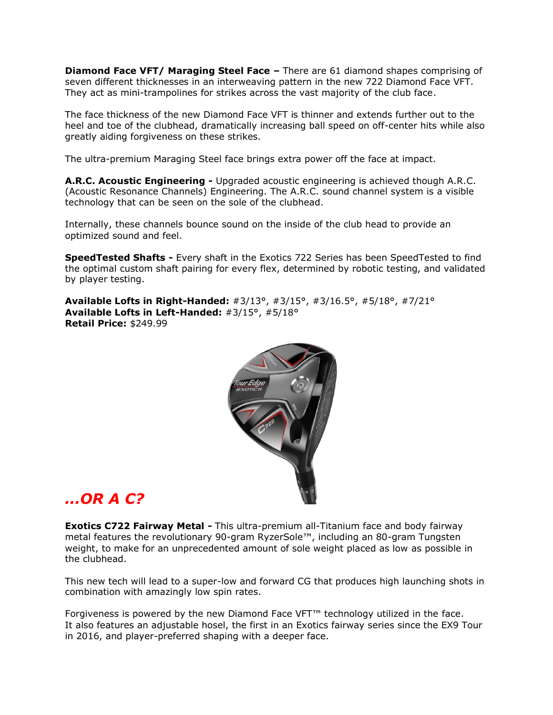**Diamond Face VFT/ Maraging Steel Face –** There are 61 diamond shapes comprising of seven different thicknesses in an interweaving pattern in the new 722 Diamond Face VFT. They act as mini-trampolines for strikes across the vast majority of the club face.

The face thickness of the new Diamond Face VFT is thinner and extends further out to the heel and toe of the clubhead, dramatically increasing ball speed on off-center hits while also greatly aiding forgiveness on these strikes.

The ultra-premium Maraging Steel face brings extra power off the face at impact.

**A.R.C. Acoustic Engineering -** Upgraded acoustic engineering is achieved though A.R.C. (Acoustic Resonance Channels) Engineering. The A.R.C. sound channel system is a visible technology that can be seen on the sole of the clubhead.

Internally, these channels bounce sound on the inside of the club head to provide an optimized sound and feel.

**SpeedTested Shafts -** Every shaft in the Exotics 722 Series has been SpeedTested to find the optimal custom shaft pairing for every flex, determined by robotic testing, and validated by player testing.

**Available Lofts in Right-Handed:** #3/13°, #3/15°, #3/16.5°, #5/18°, #7/21° **Available Lofts in Left-Handed:** #3/15°, #5/18° **Retail Price:** \$249.99



### *…OR A C?*

**Exotics C722 Fairway Metal -** This ultra-premium all-Titanium face and body fairway metal features the revolutionary 90-gram RyzerSole™, including an 80-gram Tungsten weight, to make for an unprecedented amount of sole weight placed as low as possible in the clubhead.

This new tech will lead to a super-low and forward CG that produces high launching shots in combination with amazingly low spin rates.

Forgiveness is powered by the new Diamond Face VFT™ technology utilized in the face. It also features an adjustable hosel, the first in an Exotics fairway series since the EX9 Tour in 2016, and player-preferred shaping with a deeper face.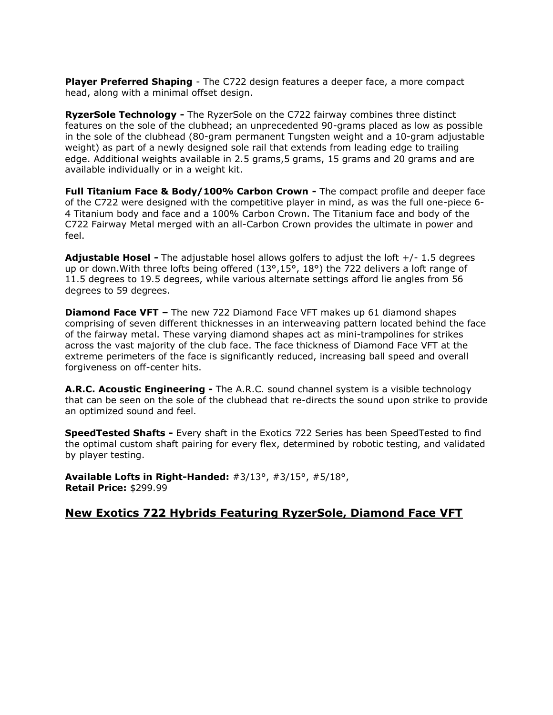**Player Preferred Shaping** - The C722 design features a deeper face, a more compact head, along with a minimal offset design.

**RyzerSole Technology -** The RyzerSole on the C722 fairway combines three distinct features on the sole of the clubhead; an unprecedented 90-grams placed as low as possible in the sole of the clubhead (80-gram permanent Tungsten weight and a 10-gram adjustable weight) as part of a newly designed sole rail that extends from leading edge to trailing edge. Additional weights available in 2.5 grams, 5 grams, 15 grams and 20 grams and are available individually or in a weight kit.

**Full Titanium Face & Body/100% Carbon Crown -** The compact profile and deeper face of the C722 were designed with the competitive player in mind, as was the full one-piece 6- 4 Titanium body and face and a 100% Carbon Crown. The Titanium face and body of the C722 Fairway Metal merged with an all-Carbon Crown provides the ultimate in power and feel.

**Adjustable Hosel -** The adjustable hosel allows golfers to adjust the loft +/- 1.5 degrees up or down. With three lofts being offered (13°,15°, 18°) the 722 delivers a loft range of 11.5 degrees to 19.5 degrees, while various alternate settings afford lie angles from 56 degrees to 59 degrees.

**Diamond Face VFT –** The new 722 Diamond Face VFT makes up 61 diamond shapes comprising of seven different thicknesses in an interweaving pattern located behind the face of the fairway metal. These varying diamond shapes act as mini-trampolines for strikes across the vast majority of the club face. The face thickness of Diamond Face VFT at the extreme perimeters of the face is significantly reduced, increasing ball speed and overall forgiveness on off-center hits.

**A.R.C. Acoustic Engineering -** The A.R.C. sound channel system is a visible technology that can be seen on the sole of the clubhead that re-directs the sound upon strike to provide an optimized sound and feel.

**SpeedTested Shafts -** Every shaft in the Exotics 722 Series has been SpeedTested to find the optimal custom shaft pairing for every flex, determined by robotic testing, and validated by player testing.

**Available Lofts in Right-Handed:** #3/13°, #3/15°, #5/18°, **Retail Price:** \$299.99

#### **New Exotics 722 Hybrids Featuring RyzerSole, Diamond Face VFT**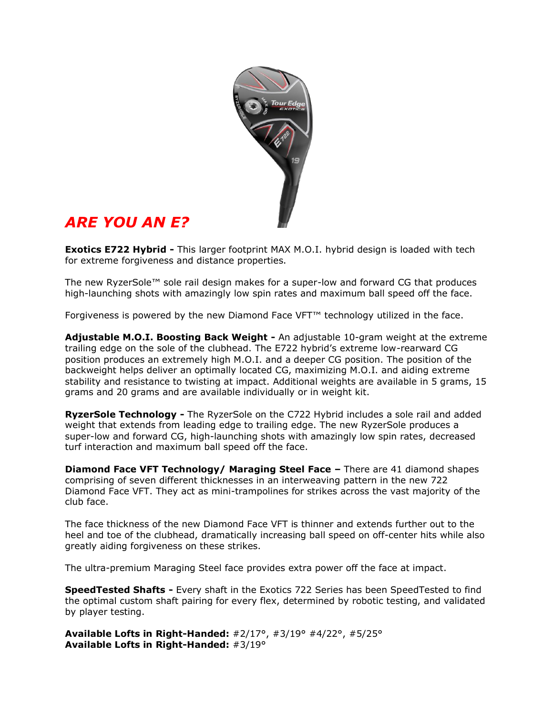

# *ARE YOU AN E?*

**Exotics E722 Hybrid -** This larger footprint MAX M.O.I. hybrid design is loaded with tech for extreme forgiveness and distance properties.

The new RyzerSole™ sole rail design makes for a super-low and forward CG that produces high-launching shots with amazingly low spin rates and maximum ball speed off the face.

Forgiveness is powered by the new Diamond Face VFT™ technology utilized in the face.

**Adjustable M.O.I. Boosting Back Weight -** An adjustable 10-gram weight at the extreme trailing edge on the sole of the clubhead. The E722 hybrid's extreme low-rearward CG position produces an extremely high M.O.I. and a deeper CG position. The position of the backweight helps deliver an optimally located CG, maximizing M.O.I. and aiding extreme stability and resistance to twisting at impact. Additional weights are available in 5 grams, 15 grams and 20 grams and are available individually or in weight kit.

**RyzerSole Technology -** The RyzerSole on the C722 Hybrid includes a sole rail and added weight that extends from leading edge to trailing edge. The new RyzerSole produces a super-low and forward CG, high-launching shots with amazingly low spin rates, decreased turf interaction and maximum ball speed off the face.

**Diamond Face VFT Technology/ Maraging Steel Face –** There are 41 diamond shapes comprising of seven different thicknesses in an interweaving pattern in the new 722 Diamond Face VFT. They act as mini-trampolines for strikes across the vast majority of the club face.

The face thickness of the new Diamond Face VFT is thinner and extends further out to the heel and toe of the clubhead, dramatically increasing ball speed on off-center hits while also greatly aiding forgiveness on these strikes.

The ultra-premium Maraging Steel face provides extra power off the face at impact.

**SpeedTested Shafts -** Every shaft in the Exotics 722 Series has been SpeedTested to find the optimal custom shaft pairing for every flex, determined by robotic testing, and validated by player testing.

**Available Lofts in Right-Handed:** #2/17°, #3/19° #4/22°, #5/25° **Available Lofts in Right-Handed:** #3/19°